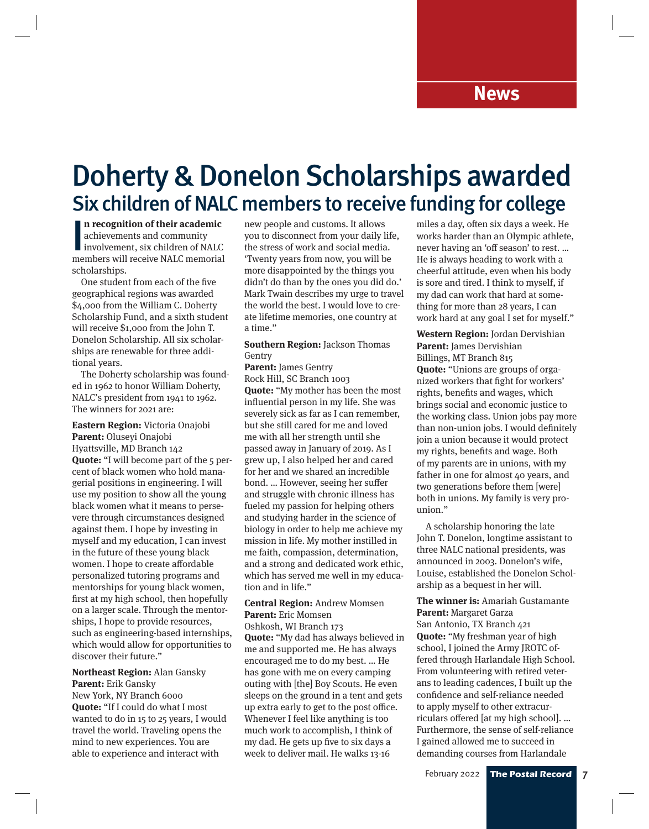### Doherty & Donelon Scholarships awarded Six children of NALC members to receive funding for college

n recognition of their academic<br>achievements and community<br>involvement, six children of NALC<br>members will receive NALC memorial **n recognition of their academic**  achievements and community involvement, six children of NALC scholarships.

One student from each of the five geographical regions was awarded \$4,000 from the William C. Doherty Scholarship Fund, and a sixth student will receive \$1,000 from the John T. Donelon Scholarship. All six scholarships are renewable for three additional years.

The Doherty scholarship was founded in 1962 to honor William Doherty, NALC's president from 1941 to 1962. The winners for 2021 are:

**Eastern Region:** Victoria Onajobi **Parent:** Oluseyi Onajobi Hyattsville, MD Branch 142 **Quote:** "I will become part of the 5 percent of black women who hold managerial positions in engineering. I will use my position to show all the young black women what it means to persevere through circumstances designed against them. I hope by investing in myself and my education, I can invest in the future of these young black women. I hope to create affordable personalized tutoring programs and mentorships for young black women, first at my high school, then hopefully on a larger scale. Through the mentorships, I hope to provide resources, such as engineering-based internships, which would allow for opportunities to discover their future."

**Northeast Region:** Alan Gansky **Parent:** Erik Gansky New York, NY Branch 6000 **Quote:** "If I could do what I most wanted to do in 15 to 25 years, I would travel the world. Traveling opens the mind to new experiences. You are able to experience and interact with

new people and customs. It allows you to disconnect from your daily life, the stress of work and social media. 'Twenty years from now, you will be more disappointed by the things you didn't do than by the ones you did do.' Mark Twain describes my urge to travel the world the best. I would love to create lifetime memories, one country at a time."

#### **Southern Region:** Jackson Thomas Gentry

**Parent:** James Gentry Rock Hill, SC Branch 1003 **Quote:** "My mother has been the most influential person in my life. She was severely sick as far as I can remember, but she still cared for me and loved me with all her strength until she passed away in January of 2019. As I grew up, I also helped her and cared for her and we shared an incredible bond. … However, seeing her suffer and struggle with chronic illness has fueled my passion for helping others and studying harder in the science of biology in order to help me achieve my mission in life. My mother instilled in me faith, compassion, determination, and a strong and dedicated work ethic, which has served me well in my education and in life."

**Central Region:** Andrew Momsen **Parent:** Eric Momsen Oshkosh, WI Branch 173 **Quote:** "My dad has always believed in me and supported me. He has always encouraged me to do my best. … He has gone with me on every camping outing with [the] Boy Scouts. He even sleeps on the ground in a tent and gets up extra early to get to the post office. Whenever I feel like anything is too much work to accomplish, I think of my dad. He gets up five to six days a week to deliver mail. He walks 13-16

miles a day, often six days a week. He works harder than an Olympic athlete, never having an 'off season' to rest. … He is always heading to work with a cheerful attitude, even when his body is sore and tired. I think to myself, if my dad can work that hard at something for more than 28 years, I can work hard at any goal I set for myself."

**Western Region:** Jordan Dervishian **Parent:** James Dervishian Billings, MT Branch 815 **Quote:** "Unions are groups of organized workers that fight for workers' rights, benefits and wages, which brings social and economic justice to the working class. Union jobs pay more than non-union jobs. I would definitely join a union because it would protect my rights, benefits and wage. Both of my parents are in unions, with my father in one for almost 40 years, and two generations before them [were] both in unions. My family is very prounion."

A scholarship honoring the late John T. Donelon, longtime assistant to three NALC national presidents, was announced in 2003. Donelon's wife, Louise, established the Donelon Scholarship as a bequest in her will.

**The winner is:** Amariah Gustamante **Parent:** Margaret Garza San Antonio, TX Branch 421

**Quote:** "My freshman year of high school, I joined the Army JROTC offered through Harlandale High School. From volunteering with retired veterans to leading cadences, I built up the confidence and self-reliance needed to apply myself to other extracurriculars offered [at my high school]. … Furthermore, the sense of self-reliance I gained allowed me to succeed in demanding courses from Harlandale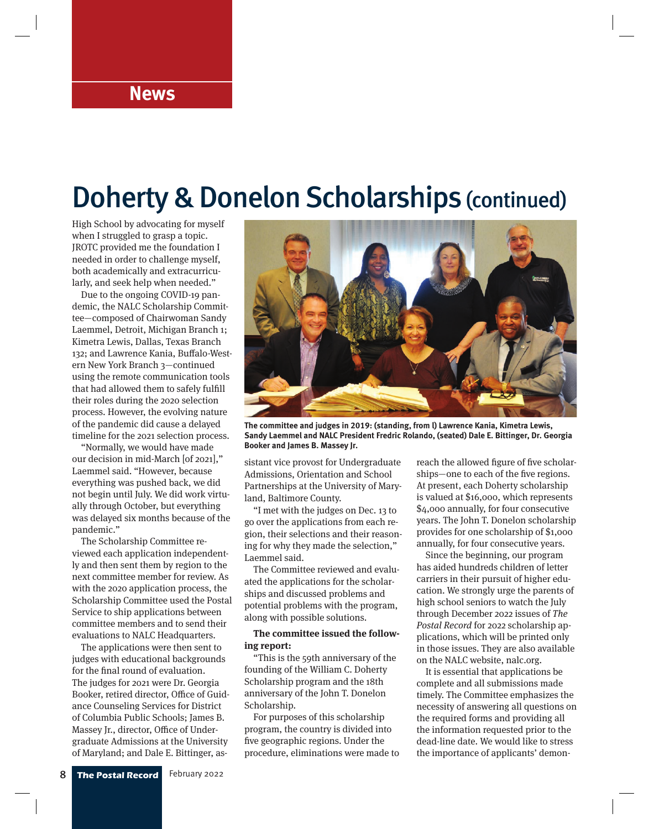### **News**

## Doherty & Donelon Scholarships (continued)

High School by advocating for myself when I struggled to grasp a topic. JROTC provided me the foundation I needed in order to challenge myself, both academically and extracurricularly, and seek help when needed."

Due to the ongoing COVID-19 pandemic, the NALC Scholarship Committee—composed of Chairwoman Sandy Laemmel, Detroit, Michigan Branch 1; Kimetra Lewis, Dallas, Texas Branch 132; and Lawrence Kania, Buffalo-Western New York Branch 3—continued using the remote communication tools that had allowed them to safely fulfill their roles during the 2020 selection process. However, the evolving nature of the pandemic did cause a delayed timeline for the 2021 selection process.

"Normally, we would have made our decision in mid-March [of 2021]," Laemmel said. "However, because everything was pushed back, we did not begin until July. We did work virtually through October, but everything was delayed six months because of the pandemic."

The Scholarship Committee reviewed each application independently and then sent them by region to the next committee member for review. As with the 2020 application process, the Scholarship Committee used the Postal Service to ship applications between committee members and to send their evaluations to NALC Headquarters.

The applications were then sent to judges with educational backgrounds for the final round of evaluation. The judges for 2021 were Dr. Georgia Booker, retired director, Office of Guidance Counseling Services for District of Columbia Public Schools; James B. Massey Jr., director, Office of Undergraduate Admissions at the University of Maryland; and Dale E. Bittinger, as-



**The committee and judges in 2019: (standing, from l) Lawrence Kania, Kimetra Lewis, Sandy Laemmel and NALC President Fredric Rolando, (seated) Dale E. Bittinger, Dr. Georgia Booker and James B. Massey Jr.**

sistant vice provost for Undergraduate Admissions, Orientation and School Partnerships at the University of Maryland, Baltimore County.

"I met with the judges on Dec. 13 to go over the applications from each region, their selections and their reasoning for why they made the selection," Laemmel said.

The Committee reviewed and evaluated the applications for the scholarships and discussed problems and potential problems with the program, along with possible solutions.

#### **The committee issued the following report:**

"This is the 59th anniversary of the founding of the William C. Doherty Scholarship program and the 18th anniversary of the John T. Donelon Scholarship.

For purposes of this scholarship program, the country is divided into five geographic regions. Under the procedure, eliminations were made to reach the allowed figure of five scholarships—one to each of the five regions. At present, each Doherty scholarship is valued at \$16,000, which represents \$4,000 annually, for four consecutive years. The John T. Donelon scholarship provides for one scholarship of \$1,000 annually, for four consecutive years.

Since the beginning, our program has aided hundreds children of letter carriers in their pursuit of higher education. We strongly urge the parents of high school seniors to watch the July through December 2022 issues of The Postal Record for 2022 scholarship applications, which will be printed only in those issues. They are also available on the NALC website, nalc.org.

It is essential that applications be complete and all submissions made timely. The Committee emphasizes the necessity of answering all questions on the required forms and providing all the information requested prior to the dead-line date. We would like to stress the importance of applicants' demon-